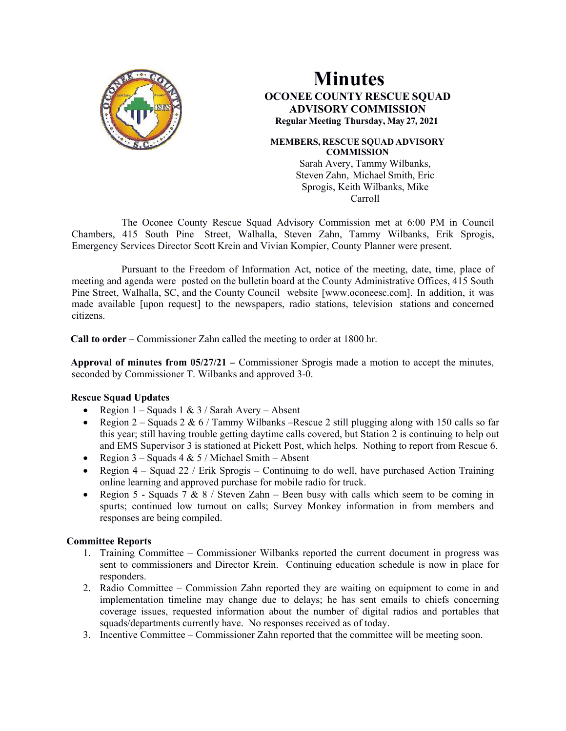

# **Minutes OCONEE COUNTY RESCUE SQUAD ADVISORY COMMISSION Regular Meeting Thursday, May 27, 2021**

#### **MEMBERS, RESCUE SQUAD ADVISORY COMMISSION**

Sarah Avery, Tammy Wilbanks, Steven Zahn, Michael Smith, Eric Sprogis, Keith Wilbanks, Mike Carroll

The Oconee County Rescue Squad Advisory Commission met at 6:00 PM in Council Chambers, 415 South Pine Street, Walhalla, Steven Zahn, Tammy Wilbanks, Erik Sprogis, Emergency Services Director Scott Krein and Vivian Kompier, County Planner were present.

Pursuant to the Freedom of Information Act, notice of the meeting, date, time, place of meeting and agenda were posted on the bulletin board at the County Administrative Offices, 415 South Pine Street, Walhalla, SC, and the County Council website [www.oconeesc.com]. In addition, it was made available [upon request] to the newspapers, radio stations, television stations and concerned citizens.

**Call to order –** Commissioner Zahn called the meeting to order at 1800 hr.

**Approval of minutes from 05/27/21 –** Commissioner Sprogis made a motion to accept the minutes, seconded by Commissioner T. Wilbanks and approved 3-0.

## **Rescue Squad Updates**

- Region  $1 -$  Squads  $1 \& 3 /$  Sarah Avery Absent
- Region 2 Squads 2 & 6 / Tammy Wilbanks –Rescue 2 still plugging along with 150 calls so far this year; still having trouble getting daytime calls covered, but Station 2 is continuing to help out and EMS Supervisor 3 is stationed at Pickett Post, which helps. Nothing to report from Rescue 6.
- Region  $3 -$  Squads  $4 & 5 /$  Michael Smith Absent
- Region  $4 -$  Squad 22 / Erik Sprogis Continuing to do well, have purchased Action Training online learning and approved purchase for mobile radio for truck.
- Region 5 Squads 7 & 8 / Steven Zahn Been busy with calls which seem to be coming in spurts; continued low turnout on calls; Survey Monkey information in from members and responses are being compiled.

## **Committee Reports**

- 1. Training Committee Commissioner Wilbanks reported the current document in progress was sent to commissioners and Director Krein. Continuing education schedule is now in place for responders.
- 2. Radio Committee Commission Zahn reported they are waiting on equipment to come in and implementation timeline may change due to delays; he has sent emails to chiefs concerning coverage issues, requested information about the number of digital radios and portables that squads/departments currently have. No responses received as of today.
- 3. Incentive Committee Commissioner Zahn reported that the committee will be meeting soon.